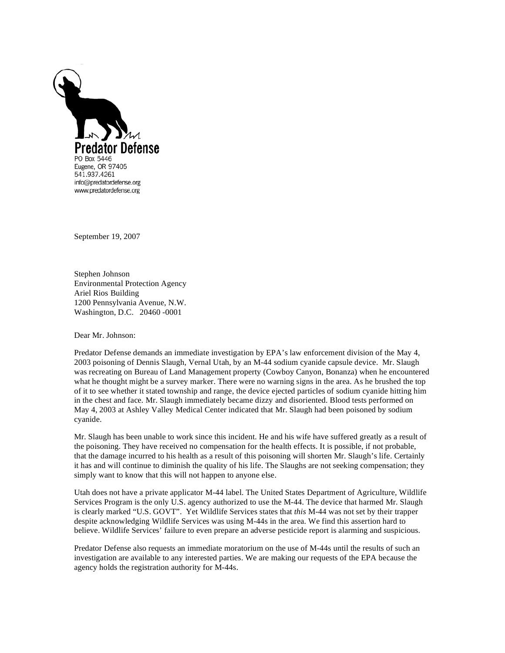

September 19, 2007

Stephen Johnson Environmental Protection Agency Ariel Rios Building 1200 Pennsylvania Avenue, N.W. Washington, D.C. 20460 -0001

Dear Mr. Johnson:

Predator Defense demands an immediate investigation by EPA's law enforcement division of the May 4, 2003 poisoning of Dennis Slaugh, Vernal Utah, by an M-44 sodium cyanide capsule device. Mr. Slaugh was recreating on Bureau of Land Management property (Cowboy Canyon, Bonanza) when he encountered what he thought might be a survey marker. There were no warning signs in the area. As he brushed the top of it to see whether it stated township and range, the device ejected particles of sodium cyanide hitting him in the chest and face. Mr. Slaugh immediately became dizzy and disoriented. Blood tests performed on May 4, 2003 at Ashley Valley Medical Center indicated that Mr. Slaugh had been poisoned by sodium cyanide.

Mr. Slaugh has been unable to work since this incident. He and his wife have suffered greatly as a result of the poisoning. They have received no compensation for the health effects. It is possible, if not probable, that the damage incurred to his health as a result of this poisoning will shorten Mr. Slaugh's life. Certainly it has and will continue to diminish the quality of his life. The Slaughs are not seeking compensation; they simply want to know that this will not happen to anyone else.

Utah does not have a private applicator M-44 label. The United States Department of Agriculture, Wildlife Services Program is the only U.S. agency authorized to use the M-44. The device that harmed Mr. Slaugh is clearly marked "U.S. GOVT". Yet Wildlife Services states that *this* M-44 was not set by their trapper despite acknowledging Wildlife Services was using M-44s in the area. We find this assertion hard to believe. Wildlife Services' failure to even prepare an adverse pesticide report is alarming and suspicious.

Predator Defense also requests an immediate moratorium on the use of M-44s until the results of such an investigation are available to any interested parties. We are making our requests of the EPA because the agency holds the registration authority for M-44s.